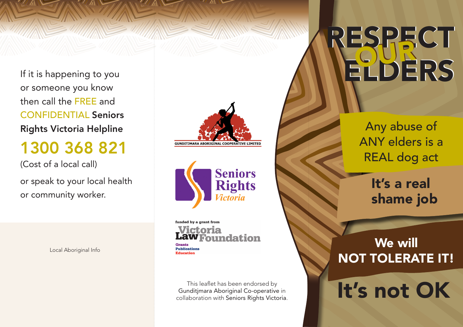If it is happening to you or someone you know then call the FREE and CONFIDENTIAL Seniors Rights Victoria Helpline

### 1300 368 821

(Cost of a local call)

or speak to your local health or community worker.

Local Aboriginal Info





funded by a grant from Victoria undation Grants

**Publications** Education

This leaflet has been endorsed by Gunditjmara Aboriginal Co-operative in collaboration with Seniors Rights Victoria. RESPECT NELDERS

> Any abuse of ANY elders is a REAL dog act

> > It's a real shame job

### We will NOT TOLERATE IT!